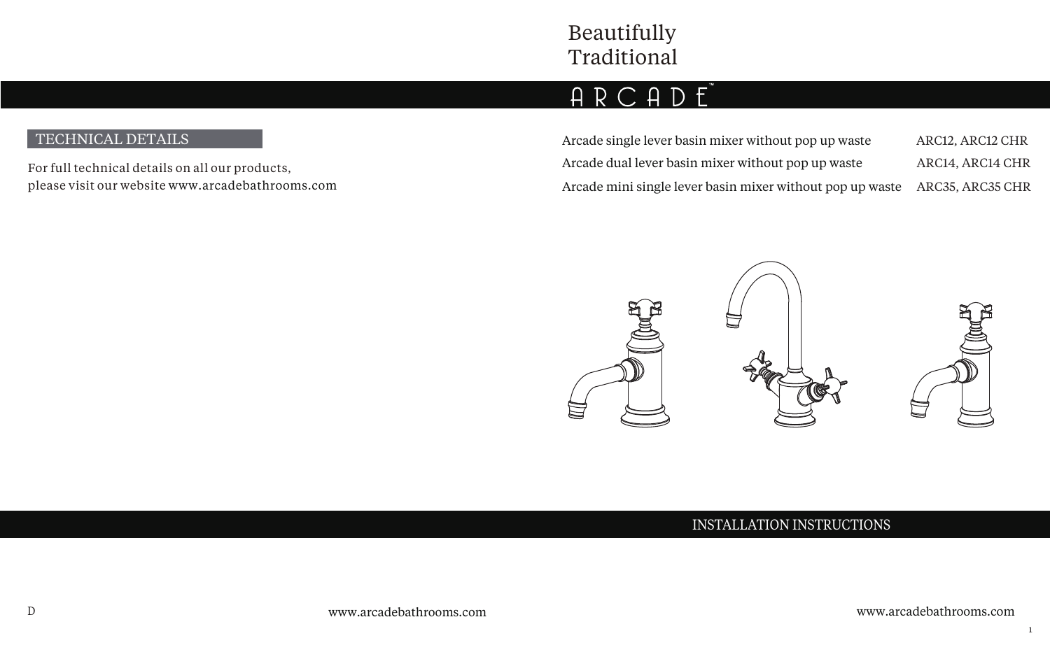# ARCADE

# TECHNICAL DETAILS

For full technical details on all our products, please visit our website www.arcadebathrooms.com Arcade single lever basin mixer without pop up waste Arcade dual lever basin mixer without pop up waste ARC12, ARC12 CHR ARC14, ARC14 CHR Arcade mini single lever basin mixer without pop up waste ARC35, ARC35 CHR



## INSTALLATION INSTRUCTIONS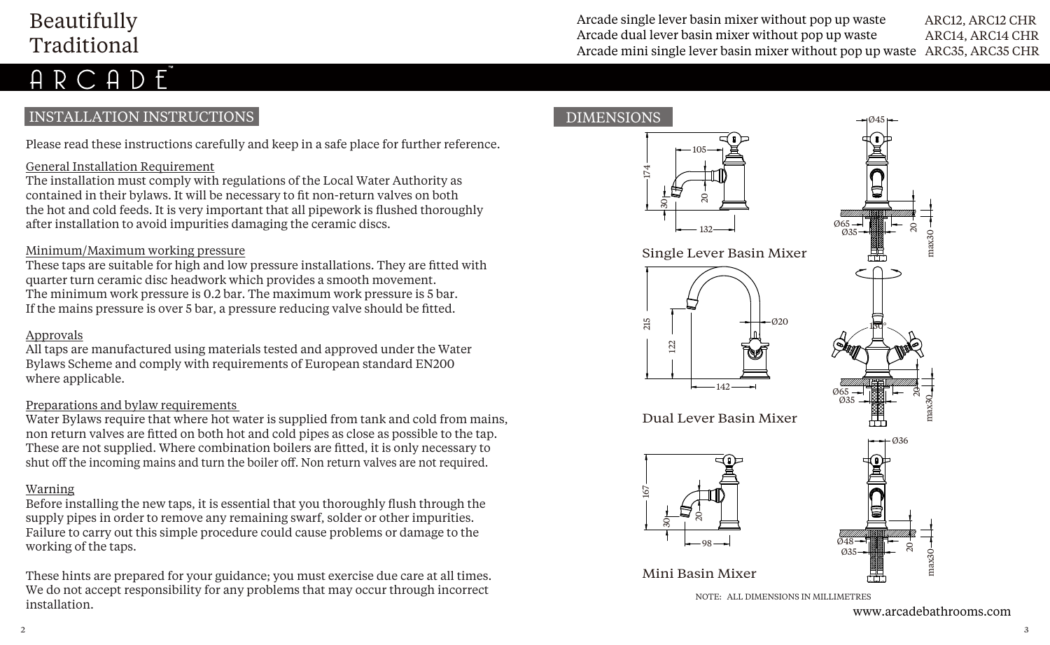# Beautifully Traditional

Arcade single lever basin mixer without pop up waste Arcade dual lever basin mixer without pop up waste ARC12, ARC12 CHR ARC14, ARC14 CHR Arcade mini single lever basin mixer without pop up waste ARC35, ARC35 CHR

# INSTALLATION INSTRUCTIONS

Please read these instructions carefully and keep in a safe place for further reference.

### General Installation Requirement

The installation must comply with regulations of the Local Water Authority as contained in their bylaws. It will be necessary to fit non-return valves on both the hot and cold feeds. It is very important that all pipework is flushed thoroughly after installation to avoid impurities damaging the ceramic discs.

#### Minimum/Maximum working pressure

These taps are suitable for high and low pressure installations. They are fitted with quarter turn ceramic disc headwork which provides a smooth movement. The minimum work pressure is 0.2 bar. The maximum work pressure is 5 bar. If the mains pressure is over 5 bar, a pressure reducing valve should be fitted.

#### Approvals

All taps are manufactured using materials tested and approved under the Water Bylaws Scheme and comply with requirements of European standard EN200 where applicable.

#### Preparations and bylaw requirements

Water Bylaws require that where hot water is supplied from tank and cold from mains, non return valves are fitted on both hot and cold pipes as close as possible to the tap. These are not supplied. Where combination boilers are fitted, it is only necessary to shut off the incoming mains and turn the boiler off. Non return valves are not required.

#### Warning

Before installing the new taps, it is essential that you thoroughly flush through the supply pipes in order to remove any remaining swarf, solder or other impurities. Failure to carry out this simple procedure could cause problems or damage to the working of the taps.

These hints are prepared for your guidance; you must exercise due care at all times. We do not accept responsibility for any problems that may occur through incorrect installation.

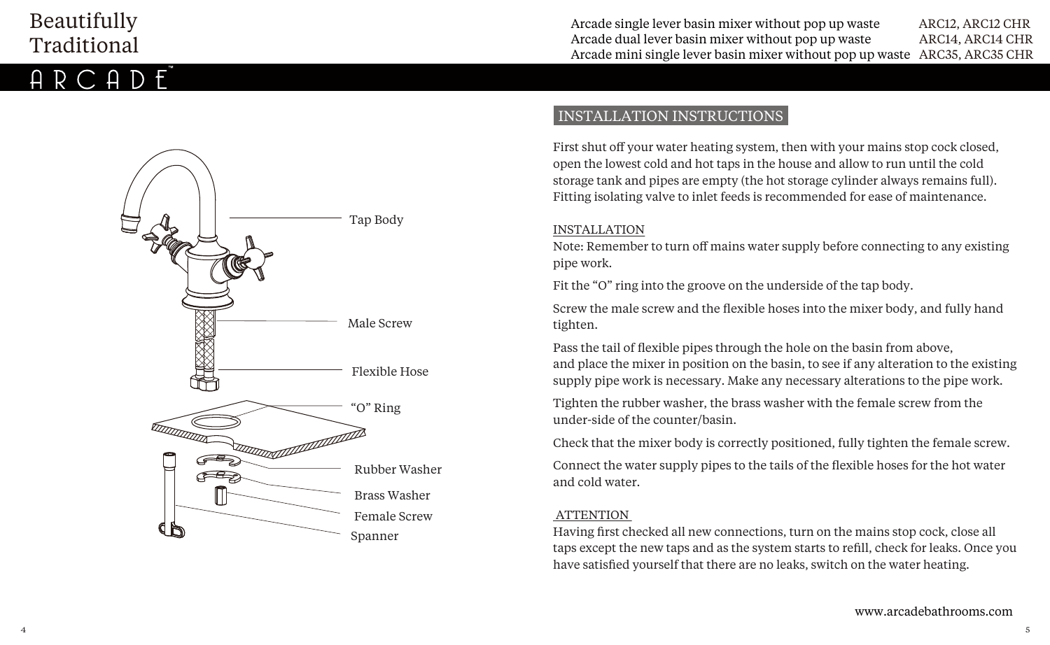# Beautifully Traditional



# INSTALLATION INSTRUCTIONS

First shut off your water heating system, then with your mains stop cock closed, open the lowest cold and hot taps in the house and allow to run until the cold storage tank and pipes are empty (the hot storage cylinder always remains full). Fitting isolating valve to inlet feeds is recommended for ease of maintenance.

#### INSTALLATION

Note: Remember to turn off mains water supply before connecting to any existing pipe work.

Fit the "O" ring into the groove on the underside of the tap body.

Screw the male screw and the flexible hoses into the mixer body, and fully hand tighten.

Pass the tail of flexible pipes through the hole on the basin from above, and place the mixer in position on the basin, to see if any alteration to the existing supply pipe work is necessary. Make any necessary alterations to the pipe work.

Tighten the rubber washer, the brass washer with the female screw from the under-side of the counter/basin.

Check that the mixer body is correctly positioned, fully tighten the female screw.

Connect the water supply pipes to the tails of the flexible hoses for the hot water and cold water.

#### **ATTENTION**

Having first checked all new connections, turn on the mains stop cock, close all taps except the new taps and as the system starts to refill, check for leaks. Once you have satisfied yourself that there are no leaks, switch on the water heating.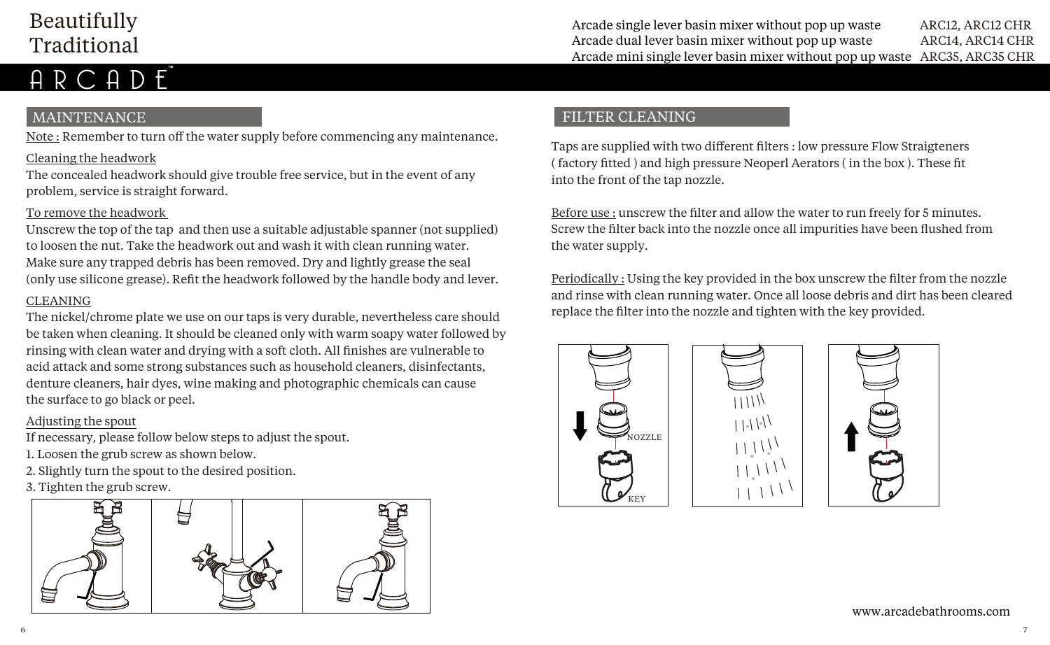# Beautifully Traditional

# RCADE

# MAINTENANCE

Note : Remember to turn off the water supply before commencing any maintenance.

## Cleaning the headwork

The concealed headwork should give trouble free service, but in the event of any problem, service is straight forward.

### To remove the headwork

Unscrew the top of the tap and then use a suitable adjustable spanner (not supplied) to loosen the nut. Take the headwork out and wash it with clean running water. Make sure any trapped debris has been removed. Dry and lightly grease the seal (only use silicone grease). Refit the headwork followed by the handle body and lever.

## CLEANING

The nickel/chrome plate we use on our taps is very durable, nevertheless care should be taken when cleaning. It should be cleaned only with warm soapy water followed by rinsing with clean water and drying with a soft cloth. All finishes are vulnerable to acid attack and some strong substances such as household cleaners, disinfectants, denture cleaners, hair dyes, wine making and photographic chemicals can cause the surface to go black or peel.

### Adjusting the spout

If necessary, please follow below steps to adjust the spout.

- 1. Loosen the grub screw as shown below.
- 2. Slightly turn the spout to the desired position.
- 3. Tighten the grub screw.



# FILTER CLEANING

Taps are supplied with two different filters : low pressure Flow Straigteners ( factory fitted ) and high pressure Neoperl Aerators ( in the box ). These fit into the front of the tap nozzle.

Before use : unscrew the filter and allow the water to run freely for 5 minutes. Screw the filter back into the nozzle once all impurities have been flushed from the water supply.

Periodically : Using the key provided in the box unscrew the filter from the nozzle and rinse with clean running water. Once all loose debris and dirt has been cleared replace the filter into the nozzle and tighten with the key provided.